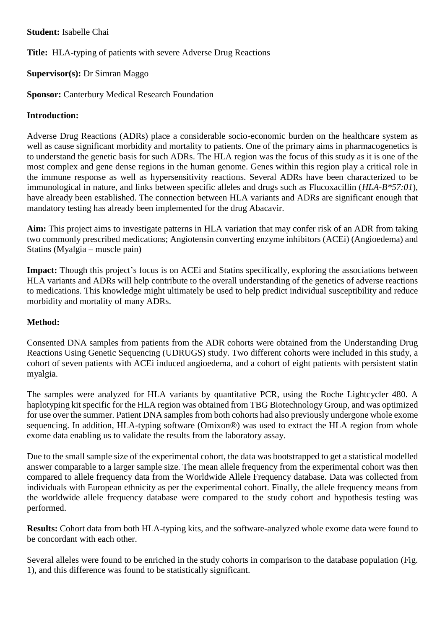**Student:** Isabelle Chai

**Title:** HLA-typing of patients with severe Adverse Drug Reactions

## **Supervisor(s):** Dr Simran Maggo

**Sponsor: Canterbury Medical Research Foundation** 

## **Introduction:**

Adverse Drug Reactions (ADRs) place a considerable socio-economic burden on the healthcare system as well as cause significant morbidity and mortality to patients. One of the primary aims in pharmacogenetics is to understand the genetic basis for such ADRs. The HLA region was the focus of this study as it is one of the most complex and gene dense regions in the human genome. Genes within this region play a critical role in the immune response as well as hypersensitivity reactions. Several ADRs have been characterized to be immunological in nature, and links between specific alleles and drugs such as Flucoxacillin (*HLA-B\*57:01*), have already been established. The connection between HLA variants and ADRs are significant enough that mandatory testing has already been implemented for the drug Abacavir.

**Aim:** This project aims to investigate patterns in HLA variation that may confer risk of an ADR from taking two commonly prescribed medications; Angiotensin converting enzyme inhibitors (ACEi) (Angioedema) and Statins (Myalgia – muscle pain)

**Impact:** Though this project's focus is on ACEi and Statins specifically, exploring the associations between HLA variants and ADRs will help contribute to the overall understanding of the genetics of adverse reactions to medications. This knowledge might ultimately be used to help predict individual susceptibility and reduce morbidity and mortality of many ADRs.

## **Method:**

Consented DNA samples from patients from the ADR cohorts were obtained from the Understanding Drug Reactions Using Genetic Sequencing (UDRUGS) study. Two different cohorts were included in this study, a cohort of seven patients with ACEi induced angioedema, and a cohort of eight patients with persistent statin myalgia.

The samples were analyzed for HLA variants by quantitative PCR, using the Roche Lightcycler 480. A haplotyping kit specific for the HLA region was obtained from TBG Biotechnology Group, and was optimized for use over the summer. Patient DNA samples from both cohorts had also previously undergone whole exome sequencing. In addition, HLA-typing software (Omixon®) was used to extract the HLA region from whole exome data enabling us to validate the results from the laboratory assay.

Due to the small sample size of the experimental cohort, the data was bootstrapped to get a statistical modelled answer comparable to a larger sample size. The mean allele frequency from the experimental cohort was then compared to allele frequency data from the Worldwide Allele Frequency database. Data was collected from individuals with European ethnicity as per the experimental cohort. Finally, the allele frequency means from the worldwide allele frequency database were compared to the study cohort and hypothesis testing was performed.

**Results:** Cohort data from both HLA-typing kits, and the software-analyzed whole exome data were found to be concordant with each other.

Several alleles were found to be enriched in the study cohorts in comparison to the database population (Fig. 1), and this difference was found to be statistically significant.